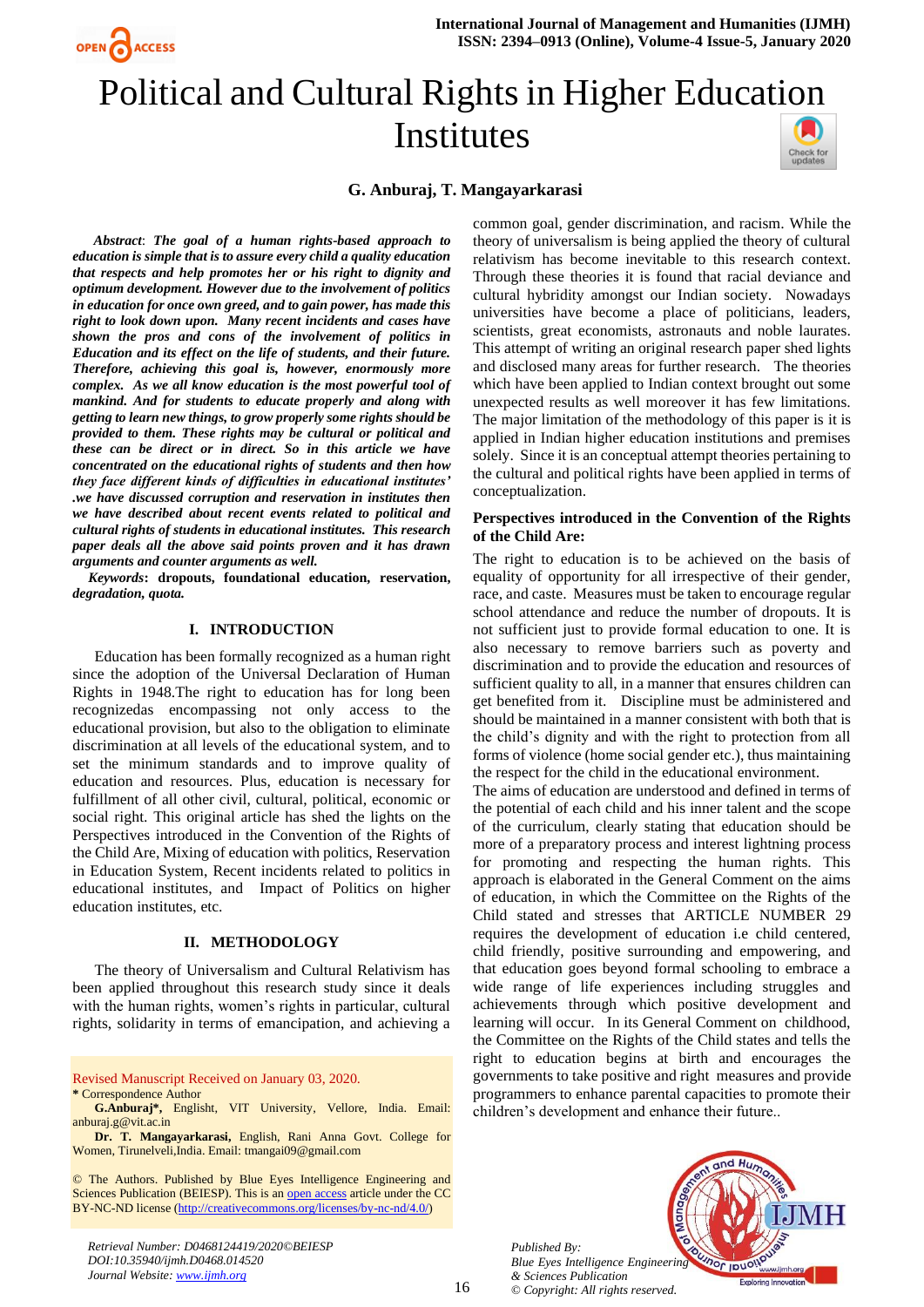

# Political and Cultural Rights in Higher Education Institutes



# **G. Anburaj, T. Mangayarkarasi**

*Abstract*: *The goal of a human rights-based approach to education is simple that is to assure every child a quality education that respects and help promotes her or his right to dignity and optimum development. However due to the involvement of politics in education for once own greed, and to gain power, has made this right to look down upon. Many recent incidents and cases have shown the pros and cons of the involvement of politics in Education and its effect on the life of students, and their future. Therefore, achieving this goal is, however, enormously more complex. As we all know education is the most powerful tool of mankind. And for students to educate properly and along with getting to learn new things, to grow properly some rights should be provided to them. These rights may be cultural or political and these can be direct or in direct. So in this article we have concentrated on the educational rights of students and then how they face different kinds of difficulties in educational institutes' .we have discussed corruption and reservation in institutes then we have described about recent events related to political and cultural rights of students in educational institutes. This research paper deals all the above said points proven and it has drawn arguments and counter arguments as well.*

*Keywords***: dropouts, foundational education, reservation,**  *degradation, quota.*

# **I. INTRODUCTION**

Education has been formally recognized as a human right since the adoption of the Universal Declaration of Human Rights in 1948.The right to education has for long been recognizedas encompassing not only access to the educational provision, but also to the obligation to eliminate discrimination at all levels of the educational system, and to set the minimum standards and to improve quality of education and resources. Plus, education is necessary for fulfillment of all other civil, cultural, political, economic or social right. This original article has shed the lights on the Perspectives introduced in the Convention of the Rights of the Child Are, Mixing of education with politics, Reservation in Education System, Recent incidents related to politics in educational institutes, and Impact of Politics on higher education institutes, etc.

## **II. METHODOLOGY**

The theory of Universalism and Cultural Relativism has been applied throughout this research study since it deals with the human rights, women's rights in particular, cultural rights, solidarity in terms of emancipation, and achieving a

Revised Manuscript Received on January 03, 2020. **\*** Correspondence Author

**Dr. T. Mangayarkarasi,** English, Rani Anna Govt. College for Women, Tirunelveli,India. Email[: tmangai09@gmail.com](mailto:tmangai09@gmail.com)

© The Authors. Published by Blue Eyes Intelligence Engineering and Sciences Publication (BEIESP). This is an [open access](https://www.openaccess.nl/en/open-publications) article under the CC BY-NC-ND license [\(http://creativecommons.org/licenses/by-nc-nd/4.0/\)](http://creativecommons.org/licenses/by-nc-nd/4.0/)

*Retrieval Number: D0468124419/2020©BEIESP DOI:10.35940/ijmh.D0468.014520 Journal Website[: www.ijmh.org](http://www.ijmh.org/)*

common goal, gender discrimination, and racism. While the theory of universalism is being applied the theory of cultural relativism has become inevitable to this research context. Through these theories it is found that racial deviance and cultural hybridity amongst our Indian society. Nowadays universities have become a place of politicians, leaders, scientists, great economists, astronauts and noble laurates. This attempt of writing an original research paper shed lights and disclosed many areas for further research. The theories which have been applied to Indian context brought out some unexpected results as well moreover it has few limitations. The major limitation of the methodology of this paper is it is applied in Indian higher education institutions and premises solely. Since it is an conceptual attempt theories pertaining to the cultural and political rights have been applied in terms of conceptualization.

## **Perspectives introduced in the Convention of the Rights of the Child Are:**

The right to education is to be achieved on the basis of equality of opportunity for all irrespective of their gender, race, and caste. Measures must be taken to encourage regular school attendance and reduce the number of dropouts. It is not sufficient just to provide formal education to one. It is also necessary to remove barriers such as poverty and discrimination and to provide the education and resources of sufficient quality to all, in a manner that ensures children can get benefited from it. Discipline must be administered and should be maintained in a manner consistent with both that is the child's dignity and with the right to protection from all forms of violence (home social gender etc.), thus maintaining the respect for the child in the educational environment.

The aims of education are understood and defined in terms of the potential of each child and his inner talent and the scope of the curriculum, clearly stating that education should be more of a preparatory process and interest lightning process for promoting and respecting the human rights. This approach is elaborated in the General Comment on the aims of education, in which the Committee on the Rights of the Child stated and stresses that ARTICLE NUMBER 29 requires the development of education i.e child centered, child friendly, positive surrounding and empowering, and that education goes beyond formal schooling to embrace a wide range of life experiences including struggles and achievements through which positive development and learning will occur. In its General Comment on childhood, the Committee on the Rights of the Child states and tells the right to education begins at birth and encourages the governments to take positive and right measures and provide programmers to enhance parental capacities to promote their children's development and enhance their future..

*Published By: Blue Eyes Intelligence Engineering & Sciences Publication © Copyright: All rights reserved.*



16

**G.Anburaj\*,** Englisht, VIT University, Vellore, India. Email: anburaj.g@vit.ac.in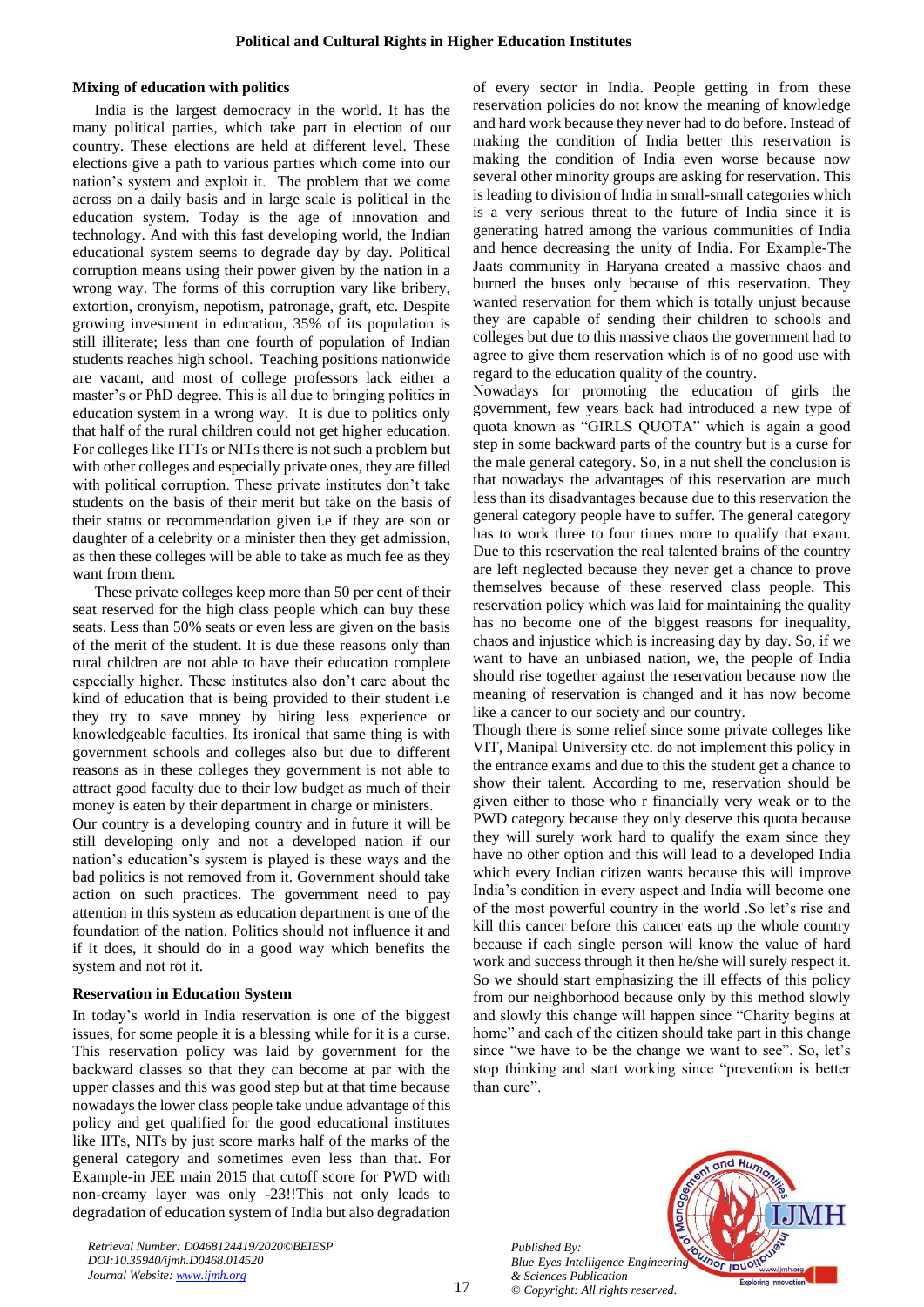#### **Mixing of education with politics**

India is the largest democracy in the world. It has the many political parties, which take part in election of our country. These elections are held at different level. These elections give a path to various parties which come into our nation's system and exploit it. The problem that we come across on a daily basis and in large scale is political in the education system. Today is the age of innovation and technology. And with this fast developing world, the Indian educational system seems to degrade day by day. Political corruption means using their power given by the nation in a wrong way. The forms of this corruption vary like bribery, extortion, cronyism, nepotism, patronage, graft, etc. Despite growing investment in education, 35% of its population is still illiterate; less than one fourth of population of Indian students reaches high school. Teaching positions nationwide are vacant, and most of college professors lack either a master's or PhD degree. This is all due to bringing politics in education system in a wrong way. It is due to politics only that half of the rural children could not get higher education. For colleges like ITTs or NITs there is not such a problem but with other colleges and especially private ones, they are filled with political corruption. These private institutes don't take students on the basis of their merit but take on the basis of their status or recommendation given i.e if they are son or daughter of a celebrity or a minister then they get admission, as then these colleges will be able to take as much fee as they want from them.

These private colleges keep more than 50 per cent of their seat reserved for the high class people which can buy these seats. Less than 50% seats or even less are given on the basis of the merit of the student. It is due these reasons only than rural children are not able to have their education complete especially higher. These institutes also don't care about the kind of education that is being provided to their student i.e they try to save money by hiring less experience or knowledgeable faculties. Its ironical that same thing is with government schools and colleges also but due to different reasons as in these colleges they government is not able to attract good faculty due to their low budget as much of their money is eaten by their department in charge or ministers.

Our country is a developing country and in future it will be still developing only and not a developed nation if our nation's education's system is played is these ways and the bad politics is not removed from it. Government should take action on such practices. The government need to pay attention in this system as education department is one of the foundation of the nation. Politics should not influence it and if it does, it should do in a good way which benefits the system and not rot it.

#### **Reservation in Education System**

In today's world in India reservation is one of the biggest issues, for some people it is a blessing while for it is a curse. This reservation policy was laid by government for the backward classes so that they can become at par with the upper classes and this was good step but at that time because nowadays the lower class people take undue advantage of this policy and get qualified for the good educational institutes like IITs, NITs by just score marks half of the marks of the general category and sometimes even less than that. For Example-in JEE main 2015 that cutoff score for PWD with non-creamy layer was only -23!!This not only leads to degradation of education system of India but also degradation of every sector in India. People getting in from these reservation policies do not know the meaning of knowledge and hard work because they never had to do before. Instead of making the condition of India better this reservation is making the condition of India even worse because now several other minority groups are asking for reservation. This is leading to division of India in small-small categories which is a very serious threat to the future of India since it is generating hatred among the various communities of India and hence decreasing the unity of India. For Example-The Jaats community in Haryana created a massive chaos and burned the buses only because of this reservation. They wanted reservation for them which is totally unjust because they are capable of sending their children to schools and colleges but due to this massive chaos the government had to agree to give them reservation which is of no good use with regard to the education quality of the country.

Nowadays for promoting the education of girls the government, few years back had introduced a new type of quota known as "GIRLS QUOTA" which is again a good step in some backward parts of the country but is a curse for the male general category. So, in a nut shell the conclusion is that nowadays the advantages of this reservation are much less than its disadvantages because due to this reservation the general category people have to suffer. The general category has to work three to four times more to qualify that exam. Due to this reservation the real talented brains of the country are left neglected because they never get a chance to prove themselves because of these reserved class people. This reservation policy which was laid for maintaining the quality has no become one of the biggest reasons for inequality, chaos and injustice which is increasing day by day. So, if we want to have an unbiased nation, we, the people of India should rise together against the reservation because now the meaning of reservation is changed and it has now become like a cancer to our society and our country.

Though there is some relief since some private colleges like VIT, Manipal University etc. do not implement this policy in the entrance exams and due to this the student get a chance to show their talent. According to me, reservation should be given either to those who r financially very weak or to the PWD category because they only deserve this quota because they will surely work hard to qualify the exam since they have no other option and this will lead to a developed India which every Indian citizen wants because this will improve India's condition in every aspect and India will become one of the most powerful country in the world .So let's rise and kill this cancer before this cancer eats up the whole country because if each single person will know the value of hard work and success through it then he/she will surely respect it. So we should start emphasizing the ill effects of this policy from our neighborhood because only by this method slowly and slowly this change will happen since "Charity begins at home" and each of the citizen should take part in this change since "we have to be the change we want to see". So, let's stop thinking and start working since "prevention is better than cure".

*Published By: Blue Eyes Intelligence Engineering & Sciences Publication © Copyright: All rights reserved.*



*Retrieval Number: D0468124419/2020©BEIESP DOI:10.35940/ijmh.D0468.014520 Journal Website[: www.ijmh.org](http://www.ijmh.org/)*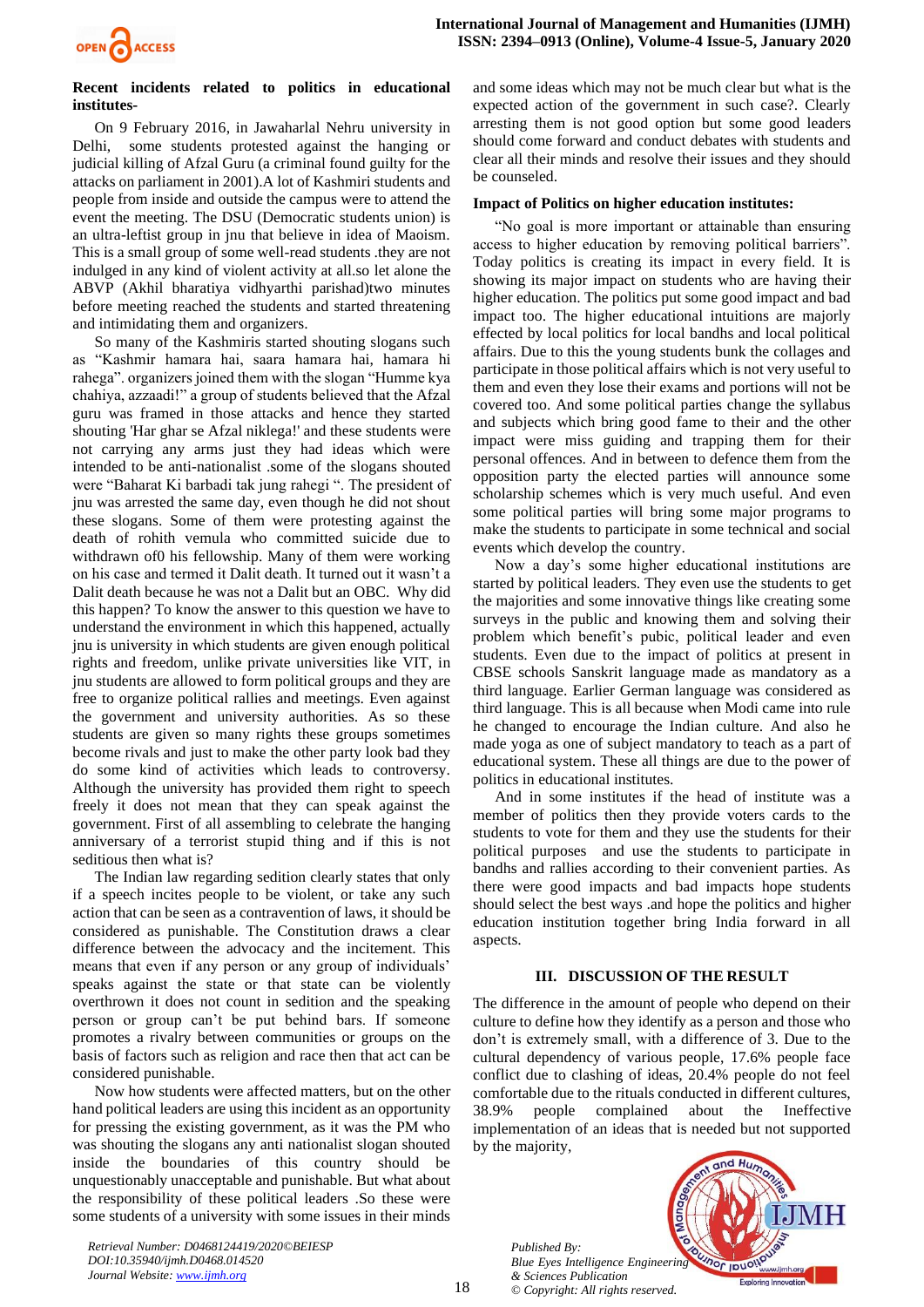# **Recent incidents related to politics in educational institutes-**

On 9 February 2016, in Jawaharlal Nehru university in Delhi, some students protested against the hanging or judicial killing of Afzal Guru (a criminal found guilty for the attacks on parliament in 2001).A lot of Kashmiri students and people from inside and outside the campus were to attend the event the meeting. The DSU (Democratic students union) is an ultra-leftist group in jnu that believe in idea of Maoism. This is a small group of some well-read students .they are not indulged in any kind of violent activity at all.so let alone the ABVP (Akhil bharatiya vidhyarthi parishad)two minutes before meeting reached the students and started threatening and intimidating them and organizers.

So many of the Kashmiris started shouting slogans such as "Kashmir hamara hai, saara hamara hai, hamara hi rahega". organizers joined them with the slogan "Humme kya chahiya, azzaadi!" a group of students believed that the Afzal guru was framed in those attacks and hence they started shouting 'Har ghar se Afzal niklega!' and these students were not carrying any arms just they had ideas which were intended to be anti-nationalist .some of the slogans shouted were "Baharat Ki barbadi tak jung rahegi ". The president of jnu was arrested the same day, even though he did not shout these slogans. Some of them were protesting against the death of rohith vemula who committed suicide due to withdrawn of0 his fellowship. Many of them were working on his case and termed it Dalit death. It turned out it wasn't a Dalit death because he was not a Dalit but an OBC. Why did this happen? To know the answer to this question we have to understand the environment in which this happened, actually jnu is university in which students are given enough political rights and freedom, unlike private universities like VIT, in jnu students are allowed to form political groups and they are free to organize political rallies and meetings. Even against the government and university authorities. As so these students are given so many rights these groups sometimes become rivals and just to make the other party look bad they do some kind of activities which leads to controversy. Although the university has provided them right to speech freely it does not mean that they can speak against the government. First of all assembling to celebrate the hanging anniversary of a terrorist stupid thing and if this is not seditious then what is?

The Indian law regarding sedition clearly states that only if a speech incites people to be violent, or take any such action that can be seen as a contravention of laws, it should be considered as punishable. The Constitution draws a clear difference between the advocacy and the incitement. This means that even if any person or any group of individuals' speaks against the state or that state can be violently overthrown it does not count in sedition and the speaking person or group can't be put behind bars. If someone promotes a rivalry between communities or groups on the basis of factors such as religion and race then that act can be considered punishable.

Now how students were affected matters, but on the other hand political leaders are using this incident as an opportunity for pressing the existing government, as it was the PM who was shouting the slogans any anti nationalist slogan shouted inside the boundaries of this country should be unquestionably unacceptable and punishable. But what about the responsibility of these political leaders .So these were some students of a university with some issues in their minds

*Retrieval Number: D0468124419/2020©BEIESP DOI:10.35940/ijmh.D0468.014520 Journal Website[: www.ijmh.org](http://www.ijmh.org/)*

and some ideas which may not be much clear but what is the expected action of the government in such case?. Clearly arresting them is not good option but some good leaders should come forward and conduct debates with students and clear all their minds and resolve their issues and they should be counseled.

## **Impact of Politics on higher education institutes:**

"No goal is more important or attainable than ensuring access to higher education by removing political barriers". Today politics is creating its impact in every field. It is showing its major impact on students who are having their higher education. The politics put some good impact and bad impact too. The higher educational intuitions are majorly effected by local politics for local bandhs and local political affairs. Due to this the young students bunk the collages and participate in those political affairs which is not very useful to them and even they lose their exams and portions will not be covered too. And some political parties change the syllabus and subjects which bring good fame to their and the other impact were miss guiding and trapping them for their personal offences. And in between to defence them from the opposition party the elected parties will announce some scholarship schemes which is very much useful. And even some political parties will bring some major programs to make the students to participate in some technical and social events which develop the country.

Now a day's some higher educational institutions are started by political leaders. They even use the students to get the majorities and some innovative things like creating some surveys in the public and knowing them and solving their problem which benefit's pubic, political leader and even students. Even due to the impact of politics at present in CBSE schools Sanskrit language made as mandatory as a third language. Earlier German language was considered as third language. This is all because when Modi came into rule he changed to encourage the Indian culture. And also he made yoga as one of subject mandatory to teach as a part of educational system. These all things are due to the power of politics in educational institutes.

And in some institutes if the head of institute was a member of politics then they provide voters cards to the students to vote for them and they use the students for their political purposes and use the students to participate in bandhs and rallies according to their convenient parties. As there were good impacts and bad impacts hope students should select the best ways .and hope the politics and higher education institution together bring India forward in all aspects.

#### **III. DISCUSSION OF THE RESULT**

The difference in the amount of people who depend on their culture to define how they identify as a person and those who don't is extremely small, with a difference of 3. Due to the cultural dependency of various people, 17.6% people face conflict due to clashing of ideas, 20.4% people do not feel comfortable due to the rituals conducted in different cultures, 38.9% people complained about the Ineffective implementation of an ideas that is needed but not supported by the majority,

*Published By: Blue Eyes Intelligence Engineering & Sciences Publication © Copyright: All rights reserved.*